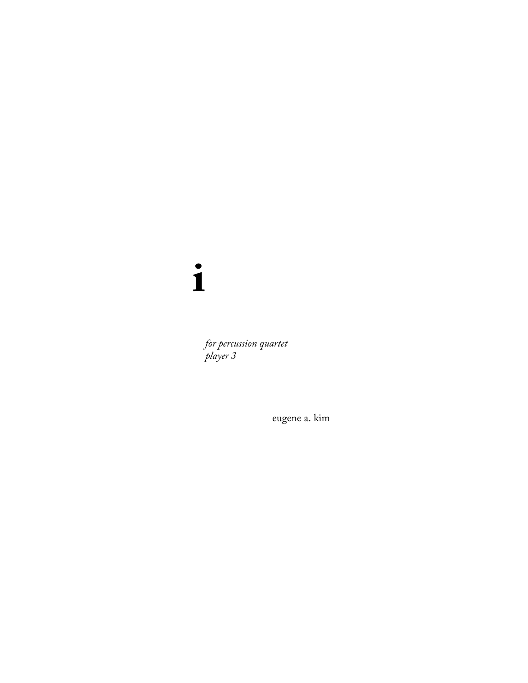$\mathbf{i}$ 

for percussion quartet<br>player 3

eugene a. kim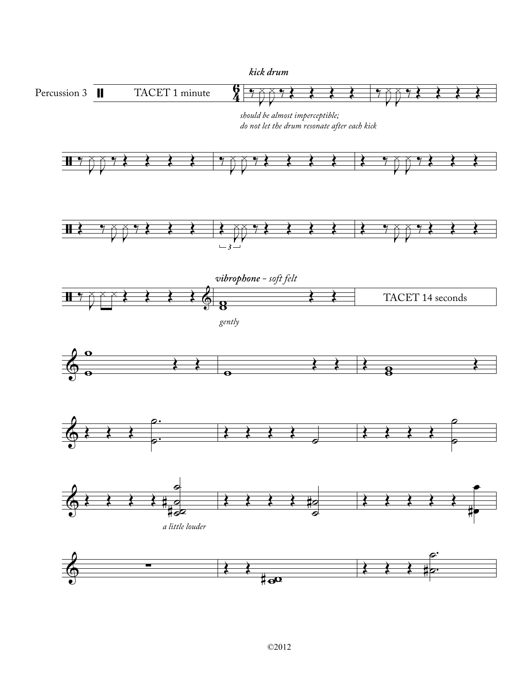